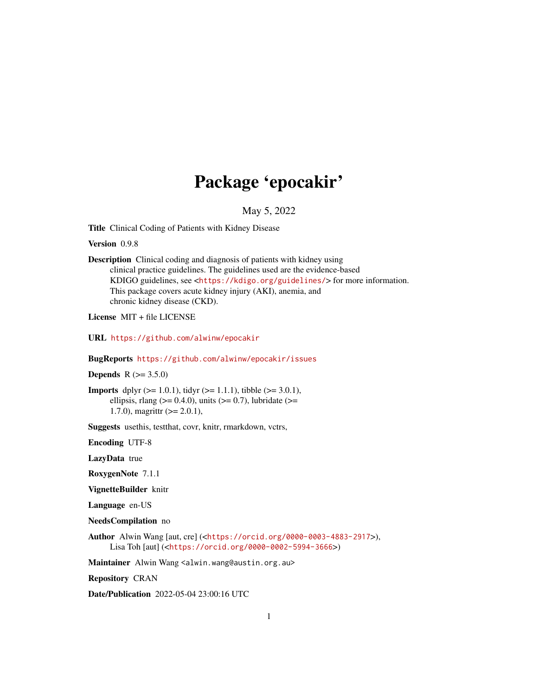# Package 'epocakir'

May 5, 2022

Title Clinical Coding of Patients with Kidney Disease

Version 0.9.8

Description Clinical coding and diagnosis of patients with kidney using clinical practice guidelines. The guidelines used are the evidence-based KDIGO guidelines, see <<https://kdigo.org/guidelines/>> for more information. This package covers acute kidney injury (AKI), anemia, and chronic kidney disease (CKD).

License MIT + file LICENSE

URL <https://github.com/alwinw/epocakir>

BugReports <https://github.com/alwinw/epocakir/issues>

**Depends** R  $(>= 3.5.0)$ 

**Imports** dplyr  $(>= 1.0.1)$ , tidyr  $(>= 1.1.1)$ , tibble  $(>= 3.0.1)$ , ellipsis, rlang ( $> = 0.4.0$ ), units ( $> = 0.7$ ), lubridate ( $> =$ 1.7.0), magrittr  $(>= 2.0.1)$ ,

Suggests usethis, testthat, covr, knitr, rmarkdown, vctrs,

Encoding UTF-8

LazyData true

RoxygenNote 7.1.1

VignetteBuilder knitr

Language en-US

NeedsCompilation no

Author Alwin Wang [aut, cre] (<<https://orcid.org/0000-0003-4883-2917>>), Lisa Toh [aut] (<<https://orcid.org/0000-0002-5994-3666>>)

Maintainer Alwin Wang <alwin.wang@austin.org.au>

Repository CRAN

Date/Publication 2022-05-04 23:00:16 UTC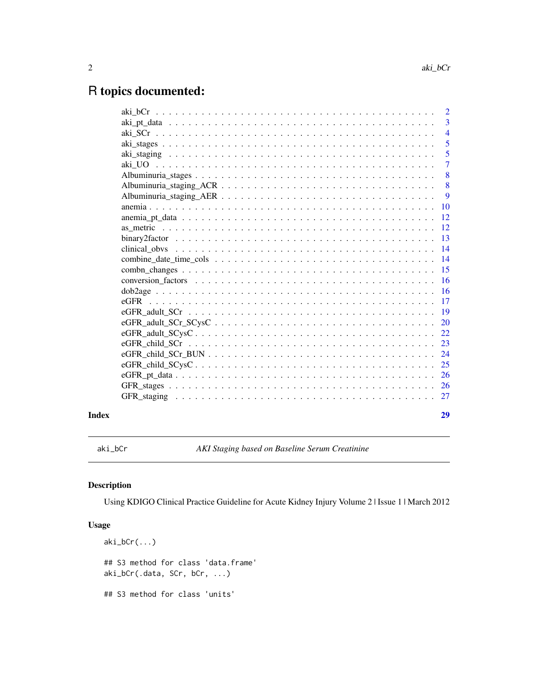# <span id="page-1-0"></span>R topics documented:

|       |                                                                                                                                                      | 2              |
|-------|------------------------------------------------------------------------------------------------------------------------------------------------------|----------------|
|       |                                                                                                                                                      | 3              |
|       |                                                                                                                                                      | $\overline{4}$ |
|       |                                                                                                                                                      | 5              |
|       |                                                                                                                                                      | 5              |
|       |                                                                                                                                                      | $\overline{7}$ |
|       |                                                                                                                                                      | 8              |
|       |                                                                                                                                                      | 8              |
|       |                                                                                                                                                      | 9              |
|       |                                                                                                                                                      | 10             |
|       |                                                                                                                                                      | 12             |
|       |                                                                                                                                                      | <sup>12</sup>  |
|       |                                                                                                                                                      | 13             |
|       |                                                                                                                                                      | 14             |
|       |                                                                                                                                                      | 14             |
|       |                                                                                                                                                      | 15             |
|       | conversion factors $\ldots$ , $\ldots$ , $\ldots$ , $\ldots$ , $\ldots$ , $\ldots$ , $\ldots$ , $\ldots$ , $\ldots$ , $\ldots$ , $\ldots$ , $\ldots$ | 16             |
|       |                                                                                                                                                      | <b>16</b>      |
|       |                                                                                                                                                      | 17             |
|       |                                                                                                                                                      | <b>19</b>      |
|       |                                                                                                                                                      | 20             |
|       | $eGFR\_adult\_SCysC \ldots \ldots \ldots \ldots \ldots \ldots \ldots \ldots \ldots \ldots \ldots \ldots$                                             | 22             |
|       |                                                                                                                                                      | 23             |
|       |                                                                                                                                                      | 24             |
|       |                                                                                                                                                      | 25             |
|       |                                                                                                                                                      | -26            |
|       |                                                                                                                                                      |                |
|       |                                                                                                                                                      |                |
|       |                                                                                                                                                      |                |
| Index |                                                                                                                                                      | 29             |

<span id="page-1-1"></span>aki\_bCr *AKI Staging based on Baseline Serum Creatinine*

# Description

Using KDIGO Clinical Practice Guideline for Acute Kidney Injury Volume 2 | Issue 1 | March 2012

```
aki_bCr(...)## S3 method for class 'data.frame'
aki_bCr(.data, SCr, bCr, ...)
## S3 method for class 'units'
```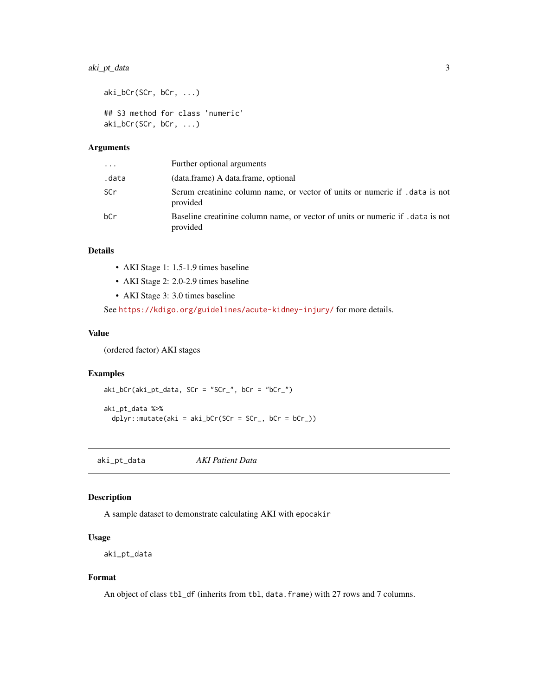# <span id="page-2-0"></span>aki\_pt\_data 3

```
aki_bCr(SCr, bCr, ...)
## S3 method for class 'numeric'
aki_bCr(SCr, bCr, ...)
```
# Arguments

| $\cdots$ | Further optional arguments                                                                  |
|----------|---------------------------------------------------------------------------------------------|
| .data    | (data.frame) A data.frame, optional                                                         |
| SCr      | Serum creatinine column name, or vector of units or numeric if . data is not<br>provided    |
| bCr      | Baseline creatinine column name, or vector of units or numeric if . data is not<br>provided |

# Details

- AKI Stage 1: 1.5-1.9 times baseline
- AKI Stage 2: 2.0-2.9 times baseline
- AKI Stage 3: 3.0 times baseline

See <https://kdigo.org/guidelines/acute-kidney-injury/> for more details.

#### Value

(ordered factor) AKI stages

#### Examples

aki\_bCr(aki\_pt\_data, SCr = "SCr\_", bCr = "bCr\_")

aki\_pt\_data %>%  $dplyr::mutate(aki = aki_bCr(SCr = SCr_, bCr = bCr_))$ 

aki\_pt\_data *AKI Patient Data*

# Description

A sample dataset to demonstrate calculating AKI with epocakir

#### Usage

aki\_pt\_data

# Format

An object of class tbl\_df (inherits from tbl, data.frame) with 27 rows and 7 columns.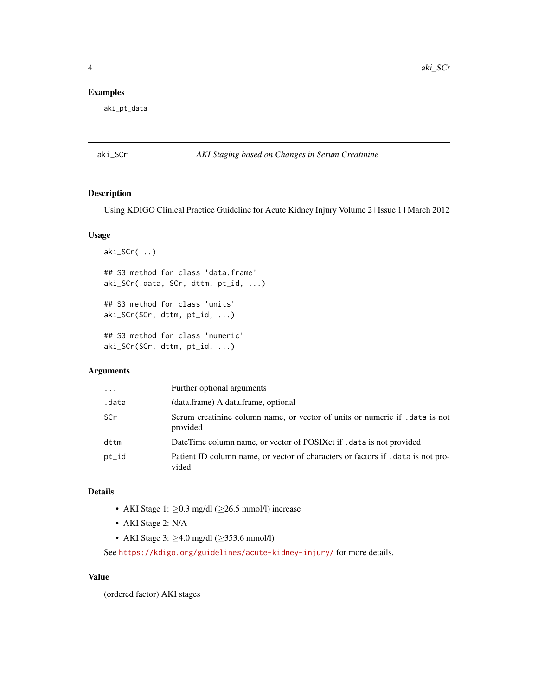# <span id="page-3-0"></span>Examples

aki\_pt\_data

#### <span id="page-3-1"></span>aki\_SCr *AKI Staging based on Changes in Serum Creatinine*

# Description

Using KDIGO Clinical Practice Guideline for Acute Kidney Injury Volume 2 | Issue 1 | March 2012

#### Usage

```
aki_SCr(...)
## S3 method for class 'data.frame'
aki_SCr(.data, SCr, dttm, pt_id, ...)
## S3 method for class 'units'
aki_SCr(SCr, dttm, pt_id, ...)
## S3 method for class 'numeric'
aki_SCr(SCr, dttm, pt_id, ...)
```
# Arguments

| $\cdot$    | Further optional arguments                                                                |
|------------|-------------------------------------------------------------------------------------------|
| .data      | (data.frame) A data.frame, optional                                                       |
| <b>SCr</b> | Serum creatinine column name, or vector of units or numeric if . data is not<br>provided  |
| dttm       | DateTime column name, or vector of POSIXct if . data is not provided                      |
| pt_id      | Patient ID column name, or vector of characters or factors if . data is not pro-<br>vided |

# Details

- AKI Stage 1:  $\geq$ 0.3 mg/dl ( $\geq$ 26.5 mmol/l) increase
- AKI Stage 2: N/A
- AKI Stage 3: ≥4.0 mg/dl (≥353.6 mmol/l)

See <https://kdigo.org/guidelines/acute-kidney-injury/> for more details.

#### Value

(ordered factor) AKI stages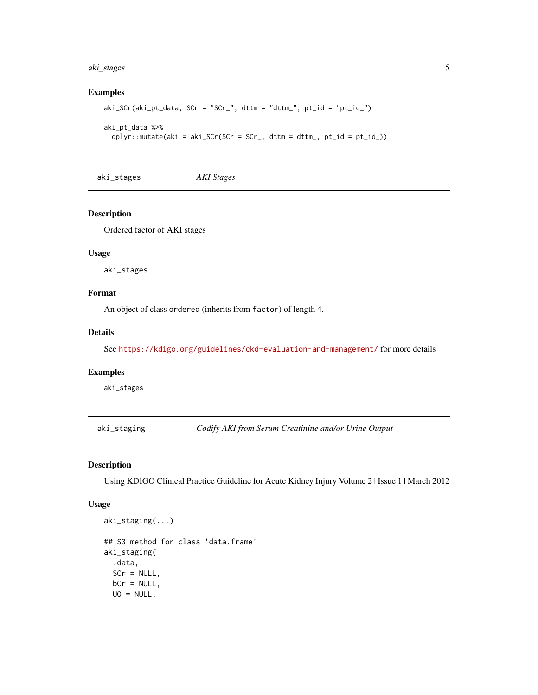# <span id="page-4-0"></span>aki\_stages 5

# Examples

```
aki_SCr(aki_p t_data, SCr = "SCr", dttm = "dttm", pt_id = "pt_id.")aki_pt_data %>%
 dplyr::mutate(aki = aki_SCr(SCr = SCr_, dttm = dttm_, pt_id = pt_id_))
```
aki\_stages *AKI Stages*

## Description

Ordered factor of AKI stages

#### Usage

aki\_stages

# Format

An object of class ordered (inherits from factor) of length 4.

# Details

See <https://kdigo.org/guidelines/ckd-evaluation-and-management/> for more details

# Examples

aki\_stages

aki\_staging *Codify AKI from Serum Creatinine and/or Urine Output*

# Description

Using KDIGO Clinical Practice Guideline for Acute Kidney Injury Volume 2 | Issue 1 | March 2012

```
aki_staging(...)
## S3 method for class 'data.frame'
aki_staging(
  .data,
 SCr = NULL,bCr = NULL,UO = NULL,
```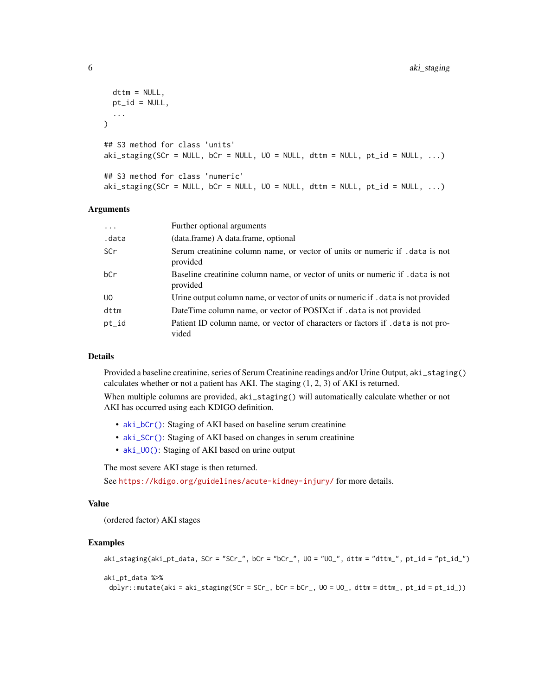```
dttm = NULL,
 pt_id = NULL,...
\lambda## S3 method for class 'units'
aki\_staging(SCr = NULL, bCr = NULL, U0 = NULL, dttm = NULL, pt_id = NULL, ...)## S3 method for class 'numeric'
aki\_staging(SCr = NULL, bCr = NULL, U0 = NULL, dttm = NULL, pt_id = NULL, ...)
```
#### Arguments

| .          | Further optional arguments                                                                  |
|------------|---------------------------------------------------------------------------------------------|
| .data      | (data.frame) A data.frame, optional                                                         |
| <b>SCr</b> | Serum creatinine column name, or vector of units or numeric if .data is not<br>provided     |
| bCr        | Baseline creatinine column name, or vector of units or numeric if . data is not<br>provided |
| UO.        | Urine output column name, or vector of units or numeric if . data is not provided           |
| dttm       | DateTime column name, or vector of POSIX ct if . data is not provided                       |
| pt_id      | Patient ID column name, or vector of characters or factors if . data is not pro-<br>vided   |

# Details

Provided a baseline creatinine, series of Serum Creatinine readings and/or Urine Output, aki\_staging() calculates whether or not a patient has AKI. The staging (1, 2, 3) of AKI is returned.

When multiple columns are provided,  $aki\_staging()$  will automatically calculate whether or not AKI has occurred using each KDIGO definition.

- [aki\\_bCr\(\)](#page-1-1): Staging of AKI based on baseline serum creatinine
- [aki\\_SCr\(\)](#page-3-1): Staging of AKI based on changes in serum creatinine
- [aki\\_UO\(\)](#page-6-1): Staging of AKI based on urine output

The most severe AKI stage is then returned.

See <https://kdigo.org/guidelines/acute-kidney-injury/> for more details.

#### Value

(ordered factor) AKI stages

```
aki_staging(aki_pt_data, SCr = "SCr_", bCr = "bCr_", UO = "UO_", dttm = "dttm_", pt_id = "pt_id_")
aki_pt_data %>%
 dplyr::mutate(aki = aki_staging(SCr = SCr_, bCr = bCr_, UO = UO_, dttm = dttm_, pt_id = pt_id_))
```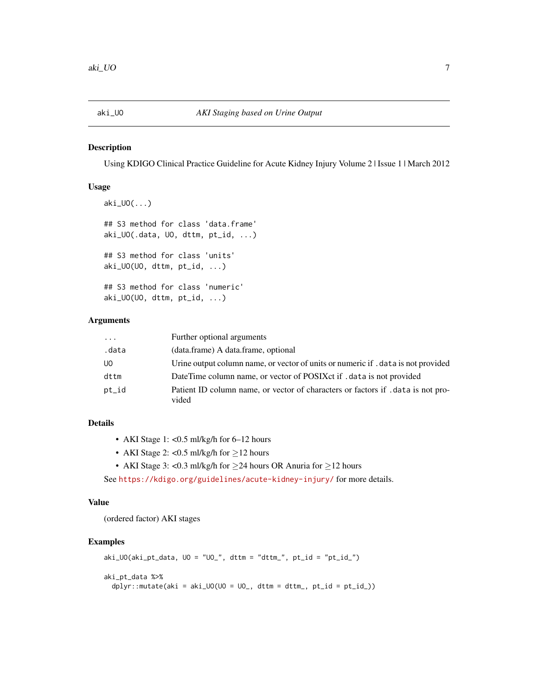<span id="page-6-1"></span><span id="page-6-0"></span>

#### Description

Using KDIGO Clinical Practice Guideline for Acute Kidney Injury Volume 2 | Issue 1 | March 2012

#### Usage

```
aki_UO(...)
## S3 method for class 'data.frame'
aki_UO(.data, UO, dttm, pt_id, ...)
## S3 method for class 'units'
aki_UO(UO, dttm, pt_id, ...)
## S3 method for class 'numeric'
aki_UO(UO, dttm, pt_id, ...)
```
# Arguments

| $\cdots$ | Further optional arguments                                                              |
|----------|-----------------------------------------------------------------------------------------|
| .data    | (data.frame) A data.frame, optional                                                     |
| UO.      | Urine output column name, or vector of units or numeric if . data is not provided       |
| dttm     | DateTime column name, or vector of POSIXct if . data is not provided                    |
| pt_id    | Patient ID column name, or vector of characters or factors if data is not pro-<br>vided |

# Details

- AKI Stage 1: <0.5 ml/kg/h for 6–12 hours
- AKI Stage 2: <0.5 ml/kg/h for  $\geq$ 12 hours
- AKI Stage 3: <0.3 ml/kg/h for ≥24 hours OR Anuria for ≥12 hours

See <https://kdigo.org/guidelines/acute-kidney-injury/> for more details.

#### Value

(ordered factor) AKI stages

```
aki_UO(aki_p t_data, U0 = "U0", dttm = "dttm", pt_id = "pt_id"aki_pt_data %>%
 dplyr::mutate(aki = aki_U0(U0 = U0_, dttm = dttm_, pt_id = pt_id]))
```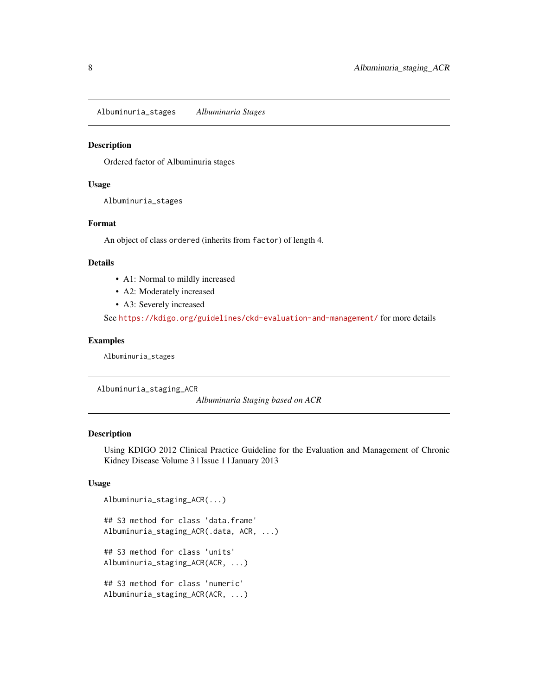<span id="page-7-0"></span>Albuminuria\_stages *Albuminuria Stages*

# Description

Ordered factor of Albuminuria stages

#### Usage

Albuminuria\_stages

### Format

An object of class ordered (inherits from factor) of length 4.

#### Details

- A1: Normal to mildly increased
- A2: Moderately increased
- A3: Severely increased

See <https://kdigo.org/guidelines/ckd-evaluation-and-management/> for more details

#### Examples

Albuminuria\_stages

Albuminuria\_staging\_ACR

*Albuminuria Staging based on ACR*

#### Description

Using KDIGO 2012 Clinical Practice Guideline for the Evaluation and Management of Chronic Kidney Disease Volume 3 | Issue 1 | January 2013

```
Albuminuria_staging_ACR(...)
## S3 method for class 'data.frame'
Albuminuria_staging_ACR(.data, ACR, ...)
```

```
## S3 method for class 'units'
Albuminuria_staging_ACR(ACR, ...)
```

```
## S3 method for class 'numeric'
Albuminuria_staging_ACR(ACR, ...)
```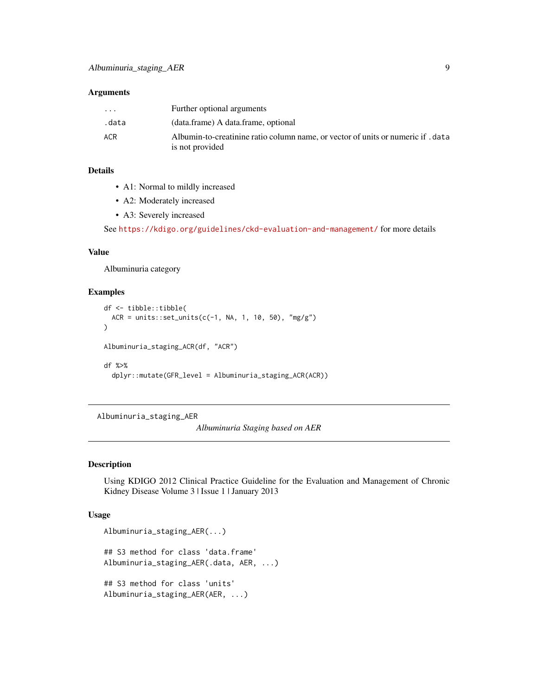#### <span id="page-8-0"></span>Arguments

| $\cdot$ $\cdot$ $\cdot$ | Further optional arguments                                                                        |
|-------------------------|---------------------------------------------------------------------------------------------------|
| .data                   | (data.frame) A data.frame, optional                                                               |
| <b>ACR</b>              | Albumin-to-creatinine ratio column name, or vector of units or numeric if data<br>is not provided |

# Details

- A1: Normal to mildly increased
- A2: Moderately increased
- A3: Severely increased

See <https://kdigo.org/guidelines/ckd-evaluation-and-management/> for more details

#### Value

Albuminuria category

#### Examples

```
df <- tibble::tibble(
  ACR = units::set\_units(c(-1, NA, 1, 10, 50), "mg/g")\mathcal{L}Albuminuria_staging_ACR(df, "ACR")
df %>%
  dplyr::mutate(GFR_level = Albuminuria_staging_ACR(ACR))
```
Albuminuria\_staging\_AER

*Albuminuria Staging based on AER*

# Description

Using KDIGO 2012 Clinical Practice Guideline for the Evaluation and Management of Chronic Kidney Disease Volume 3 | Issue 1 | January 2013

```
Albuminuria_staging_AER(...)
## S3 method for class 'data.frame'
Albuminuria_staging_AER(.data, AER, ...)
## S3 method for class 'units'
Albuminuria_staging_AER(AER, ...)
```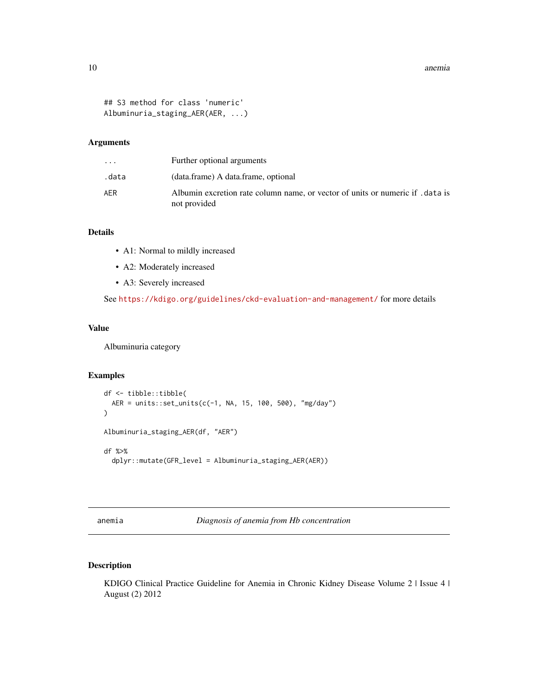#### <span id="page-9-0"></span>10 anemia anemia anemia anemia anemia anemia anemia anemia anemia anemia anemia anemia anemia anemia anemia anemia anemia anemia anemia anemia anemia anemia anemia anemia anemia anemia anemia anemia anemia anemia anemia an

```
## S3 method for class 'numeric'
Albuminuria_staging_AER(AER, ...)
```
#### Arguments

| $\cdot$ $\cdot$ $\cdot$ | Further optional arguments                                                                     |
|-------------------------|------------------------------------------------------------------------------------------------|
| .data                   | (data.frame) A data.frame, optional                                                            |
| AFR                     | Albumin excretion rate column name, or vector of units or numeric if . data is<br>not provided |

# Details

- A1: Normal to mildly increased
- A2: Moderately increased
- A3: Severely increased

See <https://kdigo.org/guidelines/ckd-evaluation-and-management/> for more details

# Value

Albuminuria category

# Examples

```
df <- tibble::tibble(
  AER = units::set_units(c(-1, NA, 15, 100, 500), "mg/day")
\mathcal{L}Albuminuria_staging_AER(df, "AER")
df %>%
  dplyr::mutate(GFR_level = Albuminuria_staging_AER(AER))
```
anemia *Diagnosis of anemia from Hb concentration*

# Description

KDIGO Clinical Practice Guideline for Anemia in Chronic Kidney Disease Volume 2 | Issue 4 | August (2) 2012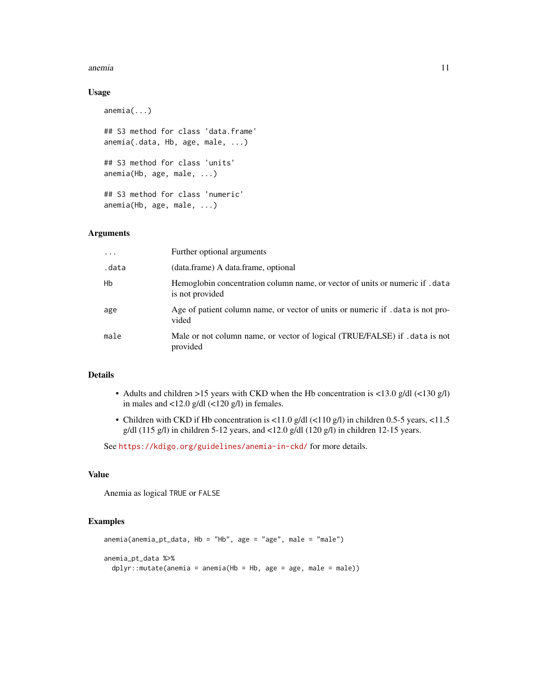#### anemia 11

#### Usage

```
anemia(...)
## S3 method for class 'data.frame'
anemia(.data, Hb, age, male, ...)
## S3 method for class 'units'
anemia(Hb, age, male, ...)
## S3 method for class 'numeric'
anemia(Hb, age, male, ...)
```
#### Arguments

| $\cdot$ | Further optional arguments                                                                     |
|---------|------------------------------------------------------------------------------------------------|
| .data   | (data.frame) A data.frame, optional                                                            |
| Hb      | Hemoglobin concentration column name, or vector of units or numeric if data<br>is not provided |
| age     | Age of patient column name, or vector of units or numeric if . data is not pro-<br>vided       |
| male    | Male or not column name, or vector of logical (TRUE/FALSE) if .data is not<br>provided         |

#### Details

- Adults and children >15 years with CKD when the Hb concentration is <13.0 g/dl (<130 g/l) in males and <12.0 g/dl (<120 g/l) in females.
- Children with CKD if Hb concentration is <11.0 g/dl (<110 g/l) in children 0.5-5 years, <11.5 g/dl (115 g/l) in children 5-12 years, and <12.0 g/dl (120 g/l) in children 12-15 years.

See <https://kdigo.org/guidelines/anemia-in-ckd/> for more details.

#### Value

Anemia as logical TRUE or FALSE

```
anemia(anemia_pt_data, Hb = "Hb", age = "age", male = "male")
anemia_pt_data %>%
 dplyr::mutate(anemia = anemia(Hb = Hb, age = age, male = male))
```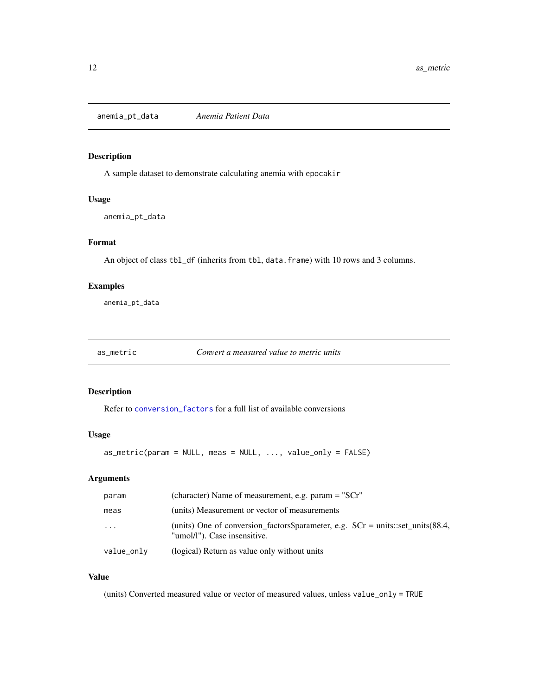<span id="page-11-0"></span>anemia\_pt\_data *Anemia Patient Data*

#### Description

A sample dataset to demonstrate calculating anemia with epocakir

#### Usage

anemia\_pt\_data

#### Format

An object of class tbl\_df (inherits from tbl, data.frame) with 10 rows and 3 columns.

# Examples

anemia\_pt\_data

as\_metric *Convert a measured value to metric units*

# Description

Refer to [conversion\\_factors](#page-15-1) for a full list of available conversions

#### Usage

 $as_metric(param = NULL, meas = NULL, ..., value-only = FALSE)$ 

# Arguments

| param                   | (character) Name of measurement, e.g. param $=$ "SCr"                                                              |
|-------------------------|--------------------------------------------------------------------------------------------------------------------|
| meas                    | (units) Measurement or vector of measurements                                                                      |
| $\cdot$ $\cdot$ $\cdot$ | (units) One of conversion_factors\$parameter, e.g. $SCr = units::set\_units(88.4,$<br>"umol/l"). Case insensitive. |
| value_only              | (logical) Return as value only without units                                                                       |

#### Value

(units) Converted measured value or vector of measured values, unless value\_only = TRUE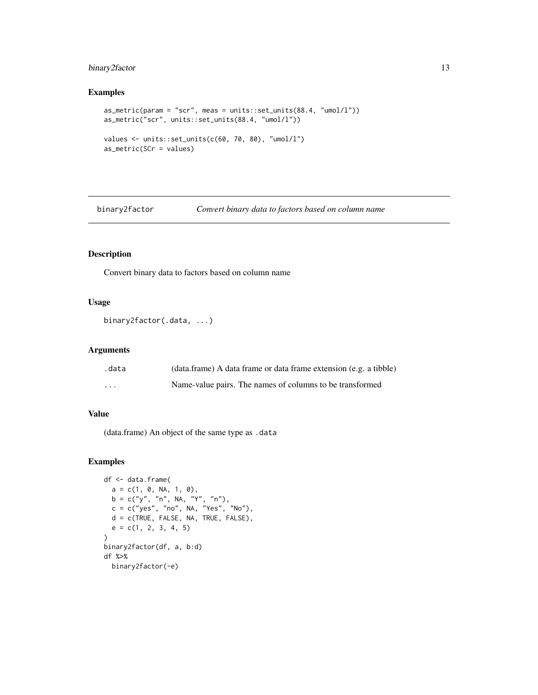# <span id="page-12-0"></span>binary2factor 13

## Examples

```
as_metric(param = "scr", meas = units::set_units(88.4, "umol/l"))
as_metric("scr", units::set_units(88.4, "umol/l"))
values <- units::set_units(c(60, 70, 80), "umol/l")
as_metric(SCr = values)
```
binary2factor *Convert binary data to factors based on column name*

#### Description

Convert binary data to factors based on column name

# Usage

```
binary2factor(.data, ...)
```
#### Arguments

| .data    | (data.frame) A data frame or data frame extension (e.g. a tibble) |
|----------|-------------------------------------------------------------------|
| $\cdots$ | Name-value pairs. The names of columns to be transformed          |

# Value

(data.frame) An object of the same type as .data

```
df <- data.frame(
  a = c(1, 0, NA, 1, 0),b = c("y", "n", NA, "Y", "n"),c = c("yes", "no", NA, "Yes", "No"),d = c(TRUE, FALSE, NA, TRUE, FALSE),
  e = c(1, 2, 3, 4, 5)\mathcal{L}binary2factor(df, a, b:d)
df %>%
 binary2factor(-e)
```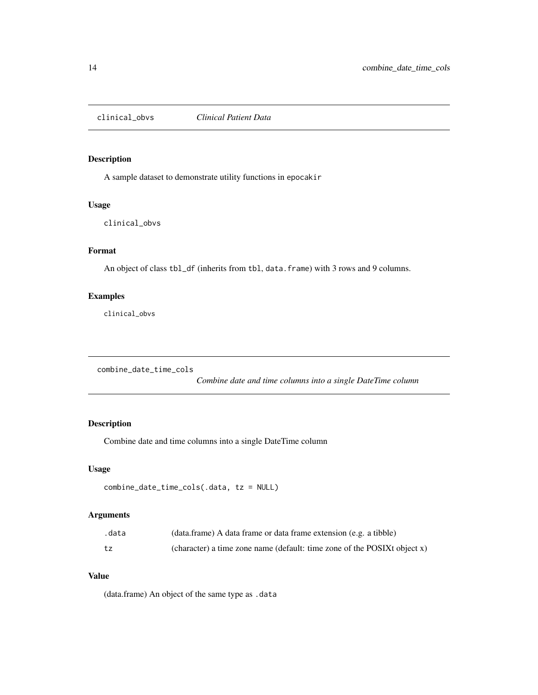<span id="page-13-0"></span>clinical\_obvs *Clinical Patient Data*

# Description

A sample dataset to demonstrate utility functions in epocakir

#### Usage

clinical\_obvs

# Format

An object of class tbl\_df (inherits from tbl, data.frame) with 3 rows and 9 columns.

# Examples

clinical\_obvs

combine\_date\_time\_cols

*Combine date and time columns into a single DateTime column*

# Description

Combine date and time columns into a single DateTime column

#### Usage

```
combine_date_time_cols(.data, tz = NULL)
```
# Arguments

| .data | (data.frame) A data frame or data frame extension (e.g. a tibble)        |
|-------|--------------------------------------------------------------------------|
| tz    | (character) a time zone name (default: time zone of the POSIXt object x) |

# Value

(data.frame) An object of the same type as .data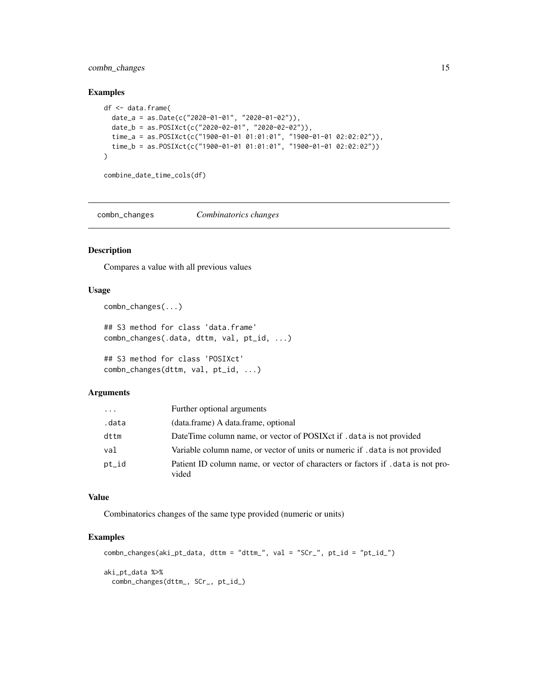# <span id="page-14-0"></span>combn\_changes 15

#### Examples

```
df <- data.frame(
 date_a = as.Date(c("2020-01-01", "2020-01-02")),
 date_b = as.POSIXct(c("2020-02-01", "2020-02-02")),
 time_a = as.POSIXct(c("1900-01-01 01:01:01", "1900-01-01 02:02:02")),
  time_b = as.POSIXct(c("1900-01-01 01:01:01", "1900-01-01 02:02:02"))
\lambdacombine_date_time_cols(df)
```
combn\_changes *Combinatorics changes*

# Description

Compares a value with all previous values

#### Usage

combn\_changes(...)

## S3 method for class 'data.frame' combn\_changes(.data, dttm, val, pt\_id, ...)

## S3 method for class 'POSIXct' combn\_changes(dttm, val, pt\_id, ...)

#### Arguments

| $\cdots$ | Further optional arguments                                                                |
|----------|-------------------------------------------------------------------------------------------|
| .data    | (data.frame) A data.frame, optional                                                       |
| dttm     | DateTime column name, or vector of POSIX ct if . data is not provided                     |
| val      | Variable column name, or vector of units or numeric if . data is not provided             |
| pt_id    | Patient ID column name, or vector of characters or factors if . data is not pro-<br>vided |

# Value

Combinatorics changes of the same type provided (numeric or units)

```
combn_changes(aki_pt_data, dttm = "dttm_", val = "SCr_", pt_id = "pt_id_")
aki_pt_data %>%
 combn_changes(dttm_, SCr_, pt_id_)
```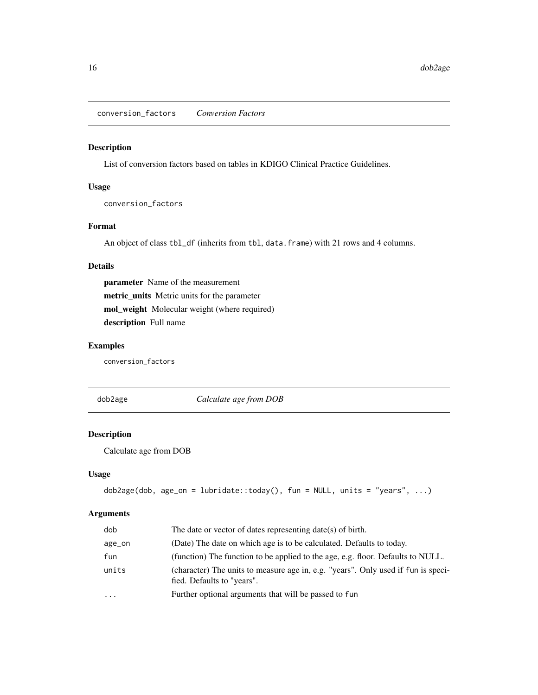<span id="page-15-1"></span><span id="page-15-0"></span>conversion\_factors *Conversion Factors*

#### Description

List of conversion factors based on tables in KDIGO Clinical Practice Guidelines.

#### Usage

conversion\_factors

# Format

An object of class tbl\_df (inherits from tbl, data.frame) with 21 rows and 4 columns.

# Details

parameter Name of the measurement metric\_units Metric units for the parameter mol\_weight Molecular weight (where required) description Full name

# Examples

conversion\_factors

dob2age *Calculate age from DOB*

# Description

Calculate age from DOB

### Usage

```
dob2age(dob, age_on = lubridate::today(), fun = NULL, units = "years", ...)
```
# Arguments

| dob       | The date or vector of dates representing $date(s)$ of birth.                                                    |
|-----------|-----------------------------------------------------------------------------------------------------------------|
| age_on    | (Date) The date on which age is to be calculated. Defaults to today.                                            |
| fun       | (function) The function to be applied to the age, e.g. floor. Defaults to NULL.                                 |
| units     | (character) The units to measure age in, e.g. "years". Only used if fun is speci-<br>fied. Defaults to "years". |
| $\ddotsc$ | Further optional arguments that will be passed to fun                                                           |
|           |                                                                                                                 |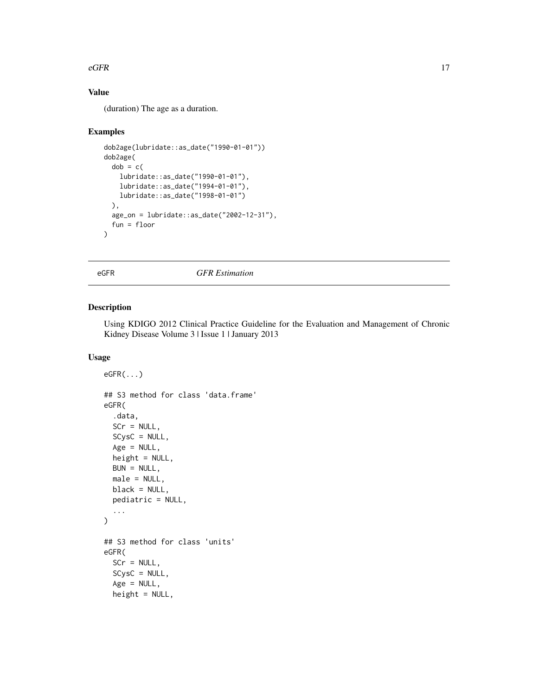#### <span id="page-16-0"></span> $eGFR$  17

# Value

(duration) The age as a duration.

#### Examples

```
dob2age(lubridate::as_date("1990-01-01"))
dob2age(
 dob = c(
   lubridate::as_date("1990-01-01"),
   lubridate::as_date("1994-01-01"),
   lubridate::as_date("1998-01-01")
 ),
 age_on = lubridate::as_date("2002-12-31"),
 fun = floor
\mathcal{L}
```
eGFR *GFR Estimation*

# Description

Using KDIGO 2012 Clinical Practice Guideline for the Evaluation and Management of Chronic Kidney Disease Volume 3 | Issue 1 | January 2013

```
eGFR(...)
## S3 method for class 'data.frame'
eGFR(
  .data,
  SCr = NULL,
  SCysC = NULL,
  Age = NULL,height = NULL,BUN = NULL,male = NULL,
 black = NULL,
  pediatric = NULL,
  ...
)
## S3 method for class 'units'
eGFR(
  SCr = NULL,SCysC = NULL,
  Age = NULL,
  height = NULL,
```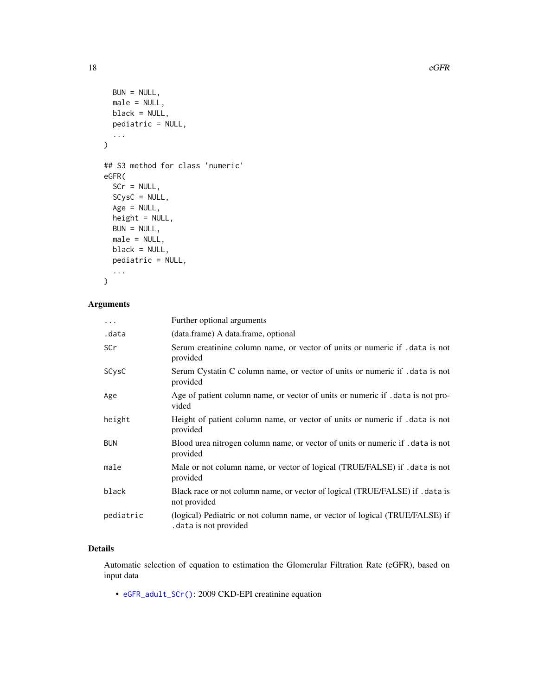```
BUN = NULL,male = NULL,
  black = NULL,
  pediatric = NULL,
  ...
\overline{\phantom{a}}## S3 method for class 'numeric'
eGFR(
  SCr = NULL,SCysC = NULL,
  Age = NULL,height = NULL,
  BUN = NULL,male = NULL,
  black = NULL,
  pediatric = NULL,
  ...
\mathcal{L}
```
# Arguments

| $\cdots$   | Further optional arguments                                                                            |
|------------|-------------------------------------------------------------------------------------------------------|
| .data      | (data.frame) A data.frame, optional                                                                   |
| SCr        | Serum creatinine column name, or vector of units or numeric if . data is not<br>provided              |
| SCysC      | Serum Cystatin C column name, or vector of units or numeric if . data is not<br>provided              |
| Age        | Age of patient column name, or vector of units or numeric if . data is not pro-<br>vided              |
| height     | Height of patient column name, or vector of units or numeric if data is not<br>provided               |
| <b>BUN</b> | Blood urea nitrogen column name, or vector of units or numeric if . data is not<br>provided           |
| male       | Male or not column name, or vector of logical (TRUE/FALSE) if .data is not<br>provided                |
| black      | Black race or not column name, or vector of logical (TRUE/FALSE) if . data is<br>not provided         |
| pediatric  | (logical) Pediatric or not column name, or vector of logical (TRUE/FALSE) if<br>data is not provided. |

#### Details

Automatic selection of equation to estimation the Glomerular Filtration Rate (eGFR), based on input data

• [eGFR\\_adult\\_SCr\(\)](#page-18-1): 2009 CKD-EPI creatinine equation

<span id="page-17-0"></span>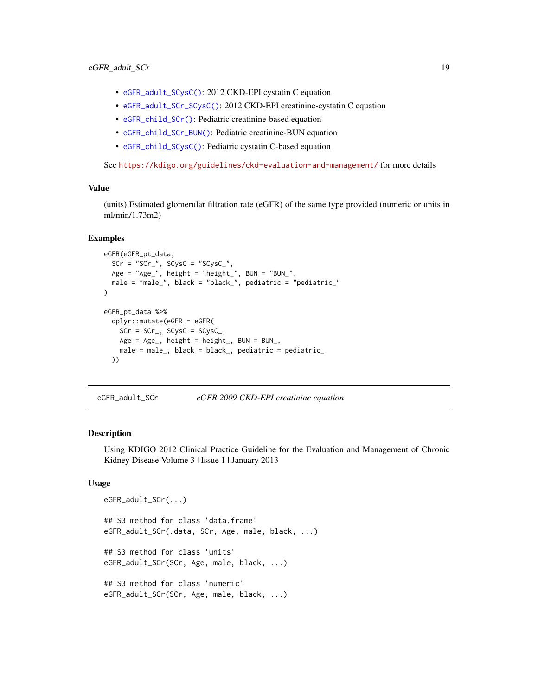- <span id="page-18-0"></span>• [eGFR\\_adult\\_SCysC\(\)](#page-21-1): 2012 CKD-EPI cystatin C equation
- [eGFR\\_adult\\_SCr\\_SCysC\(\)](#page-19-1): 2012 CKD-EPI creatinine-cystatin C equation
- [eGFR\\_child\\_SCr\(\)](#page-22-1): Pediatric creatinine-based equation
- [eGFR\\_child\\_SCr\\_BUN\(\)](#page-23-1): Pediatric creatinine-BUN equation
- [eGFR\\_child\\_SCysC\(\)](#page-24-1): Pediatric cystatin C-based equation

See <https://kdigo.org/guidelines/ckd-evaluation-and-management/> for more details

#### Value

(units) Estimated glomerular filtration rate (eGFR) of the same type provided (numeric or units in ml/min/1.73m2)

#### Examples

```
eGFR(eGFR_pt_data,
 SCr = "SCr", SCysC = "SCysC"Age = "Age_", height = "height_", BUN = "BUN_",
 male = "male_", black = "black_", pediatric = "pediatric_"
)
eGFR_pt_data %>%
 dplyr::mutate(eGFR = eGFR(
   SCr = SCr_, SCysC = SCysC_,
   Age = Age_, height = height_, BUN = BUN_,
   male = male_, black = black_, pediatric = pediatric_
 ))
```
<span id="page-18-1"></span>eGFR\_adult\_SCr *eGFR 2009 CKD-EPI creatinine equation*

#### **Description**

Using KDIGO 2012 Clinical Practice Guideline for the Evaluation and Management of Chronic Kidney Disease Volume 3 | Issue 1 | January 2013

```
eGFR_adult_SCr(...)
## S3 method for class 'data.frame'
eGFR_adult_SCr(.data, SCr, Age, male, black, ...)
## S3 method for class 'units'
eGFR_adult_SCr(SCr, Age, male, black, ...)
## S3 method for class 'numeric'
eGFR_adult_SCr(SCr, Age, male, black, ...)
```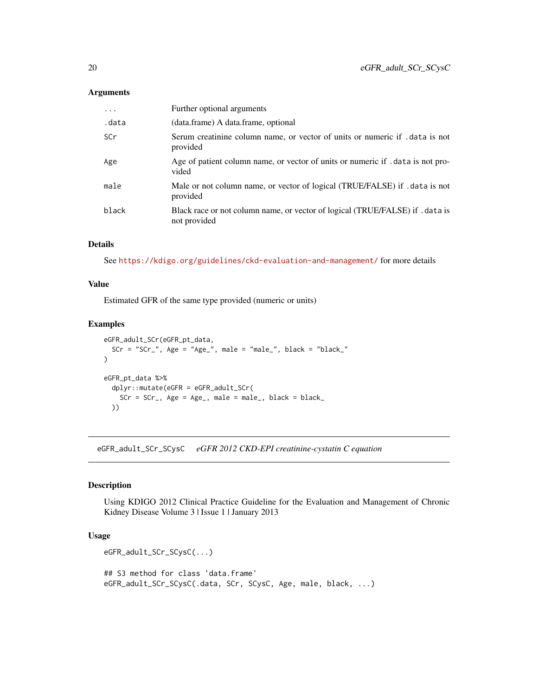#### <span id="page-19-0"></span>Arguments

| .     | Further optional arguments                                                                    |
|-------|-----------------------------------------------------------------------------------------------|
| .data | (data.frame) A data.frame, optional                                                           |
| SCr   | Serum creatinine column name, or vector of units or numeric if . data is not<br>provided      |
| Age   | Age of patient column name, or vector of units or numeric if . data is not pro-<br>vided      |
| male  | Male or not column name, or vector of logical (TRUE/FALSE) if .data is not<br>provided        |
| black | Black race or not column name, or vector of logical (TRUE/FALSE) if . data is<br>not provided |

# Details

See <https://kdigo.org/guidelines/ckd-evaluation-and-management/> for more details

#### Value

Estimated GFR of the same type provided (numeric or units)

# Examples

```
eGFR_adult_SCr(eGFR_pt_data,
  SCr = "SCr", Age = "Age_", male = "male_", black = "black_"
)
eGFR_pt_data %>%
  dplyr::mutate(eGFR = eGFR_adult_SCr(
    SCr = SCr_, Age = Age<sub>-</sub>, male = male<sub>-</sub>, black = black_
  ))
```
<span id="page-19-1"></span>eGFR\_adult\_SCr\_SCysC *eGFR 2012 CKD-EPI creatinine-cystatin C equation*

# Description

Using KDIGO 2012 Clinical Practice Guideline for the Evaluation and Management of Chronic Kidney Disease Volume 3 | Issue 1 | January 2013

```
eGFR_adult_SCr_SCysC(...)
## S3 method for class 'data.frame'
eGFR_adult_SCr_SCysC(.data, SCr, SCysC, Age, male, black, ...)
```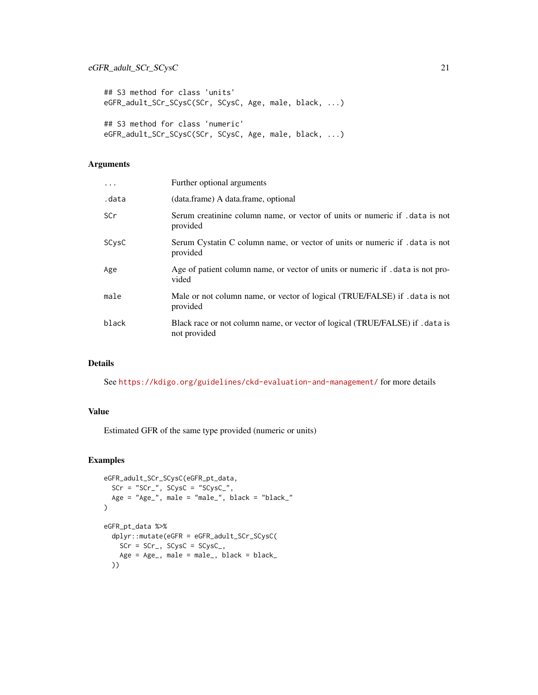```
## S3 method for class 'units'
eGFR_adult_SCr_SCysC(SCr, SCysC, Age, male, black, ...)
## S3 method for class 'numeric'
eGFR_adult_SCr_SCysC(SCr, SCysC, Age, male, black, ...)
```
# Arguments

| Further optional arguments                                                                    |
|-----------------------------------------------------------------------------------------------|
| (data.frame) A data.frame, optional                                                           |
| Serum creatinine column name, or vector of units or numeric if . data is not<br>provided      |
| Serum Cystatin C column name, or vector of units or numeric if . data is not<br>provided      |
| Age of patient column name, or vector of units or numeric if . data is not pro-<br>vided      |
| Male or not column name, or vector of logical (TRUE/FALSE) if .data is not<br>provided        |
| Black race or not column name, or vector of logical (TRUE/FALSE) if . data is<br>not provided |
|                                                                                               |

#### Details

See <https://kdigo.org/guidelines/ckd-evaluation-and-management/> for more details

# Value

Estimated GFR of the same type provided (numeric or units)

```
eGFR_adult_SCr_SCysC(eGFR_pt_data,
 SCr = "SCr", SCysC = "SCysC",
 Age = "Age_", male = "male_", black = "black_"
)
eGFR_pt_data %>%
 dplyr::mutate(eGFR = eGFR_adult_SCr_SCysC(
   SCr = SCr_, SCysC = SCysC_,
   Age = Age_, male = male_, black = black_))
```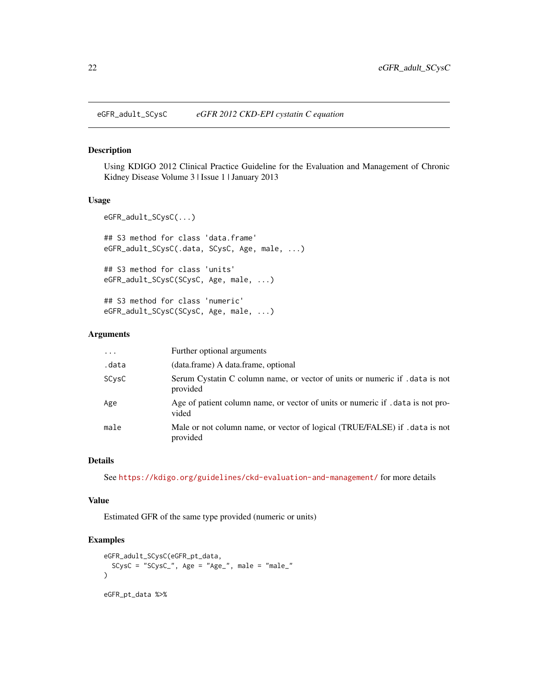<span id="page-21-1"></span><span id="page-21-0"></span>eGFR\_adult\_SCysC *eGFR 2012 CKD-EPI cystatin C equation*

#### Description

Using KDIGO 2012 Clinical Practice Guideline for the Evaluation and Management of Chronic Kidney Disease Volume 3 | Issue 1 | January 2013

#### Usage

```
eGFR_adult_SCysC(...)
## S3 method for class 'data.frame'
eGFR_adult_SCysC(.data, SCysC, Age, male, ...)
## S3 method for class 'units'
eGFR_adult_SCysC(SCysC, Age, male, ...)
## S3 method for class 'numeric'
eGFR_adult_SCysC(SCysC, Age, male, ...)
```
#### Arguments

| $\ddotsc$ | Further optional arguments                                                               |
|-----------|------------------------------------------------------------------------------------------|
| .data     | (data.frame) A data.frame, optional                                                      |
| SCysC     | Serum Cystatin C column name, or vector of units or numeric if . data is not<br>provided |
| Age       | Age of patient column name, or vector of units or numeric if , data is not pro-<br>vided |
| male      | Male or not column name, or vector of logical (TRUE/FALSE) if .data is not<br>provided   |

#### Details

See <https://kdigo.org/guidelines/ckd-evaluation-and-management/> for more details

#### Value

Estimated GFR of the same type provided (numeric or units)

```
eGFR_adult_SCysC(eGFR_pt_data,
  SCysC = "SCysC_", Age = "Age_", male = "male_"
)
eGFR_pt_data %>%
```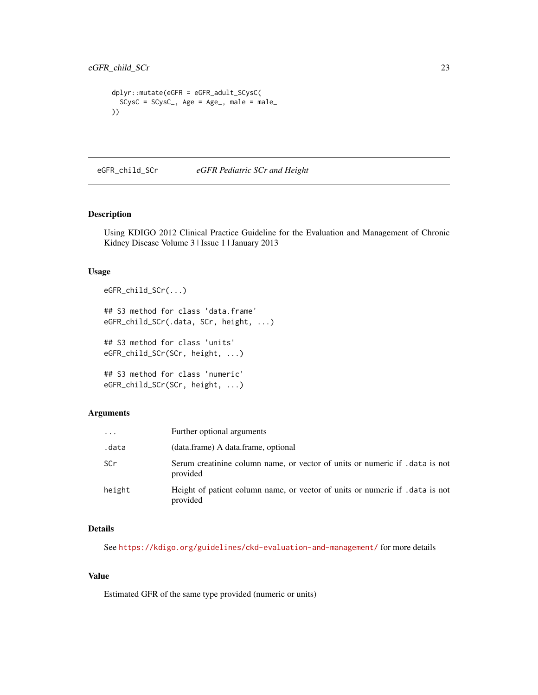```
dplyr::mutate(eGFR = eGFR_adult_SCysC(
 SCysC = SCysC_, Age = Age_, male = male_))
```
<span id="page-22-1"></span>eGFR\_child\_SCr *eGFR Pediatric SCr and Height*

#### Description

Using KDIGO 2012 Clinical Practice Guideline for the Evaluation and Management of Chronic Kidney Disease Volume 3 | Issue 1 | January 2013

#### Usage

```
eGFR_child_SCr(...)
## S3 method for class 'data.frame'
eGFR_child_SCr(.data, SCr, height, ...)
## S3 method for class 'units'
eGFR_child_SCr(SCr, height, ...)
```

```
## S3 method for class 'numeric'
eGFR_child_SCr(SCr, height, ...)
```
# Arguments

| $\cdot$ $\cdot$ $\cdot$ | Further optional arguments                                                               |
|-------------------------|------------------------------------------------------------------------------------------|
| .data                   | (data.frame) A data.frame, optional                                                      |
| SCr                     | Serum creatinine column name, or vector of units or numeric if . data is not<br>provided |
| height                  | Height of patient column name, or vector of units or numeric if data is not<br>provided  |

# Details

See <https://kdigo.org/guidelines/ckd-evaluation-and-management/> for more details

# Value

Estimated GFR of the same type provided (numeric or units)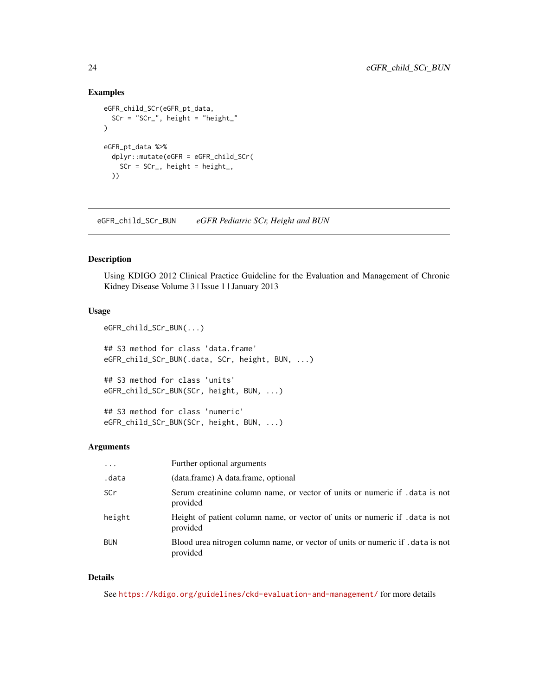# <span id="page-23-0"></span>Examples

```
eGFR_child_SCr(eGFR_pt_data,
  SCr = "SCr", height = "height_"
\mathcal{L}eGFR_pt_data %>%
  dplyr::mutate(eGFR = eGFR_child_SCr(
    SCr = SCr_, height = height_,
  ))
```
<span id="page-23-1"></span>eGFR\_child\_SCr\_BUN *eGFR Pediatric SCr, Height and BUN*

#### Description

Using KDIGO 2012 Clinical Practice Guideline for the Evaluation and Management of Chronic Kidney Disease Volume 3 | Issue 1 | January 2013

#### Usage

```
eGFR_child_SCr_BUN(...)
## S3 method for class 'data.frame'
eGFR_child_SCr_BUN(.data, SCr, height, BUN, ...)
## S3 method for class 'units'
eGFR_child_SCr_BUN(SCr, height, BUN, ...)
## S3 method for class 'numeric'
```
eGFR\_child\_SCr\_BUN(SCr, height, BUN, ...)

#### Arguments

| $\cdots$   | Further optional arguments                                                                |
|------------|-------------------------------------------------------------------------------------------|
| .data      | (data.frame) A data.frame, optional                                                       |
| SCr.       | Serum creatinine column name, or vector of units or numeric if . data is not<br>provided  |
| height     | Height of patient column name, or vector of units or numeric if . data is not<br>provided |
| <b>BUN</b> | Blood urea nitrogen column name, or vector of units or numeric if data is not<br>provided |

# Details

See <https://kdigo.org/guidelines/ckd-evaluation-and-management/> for more details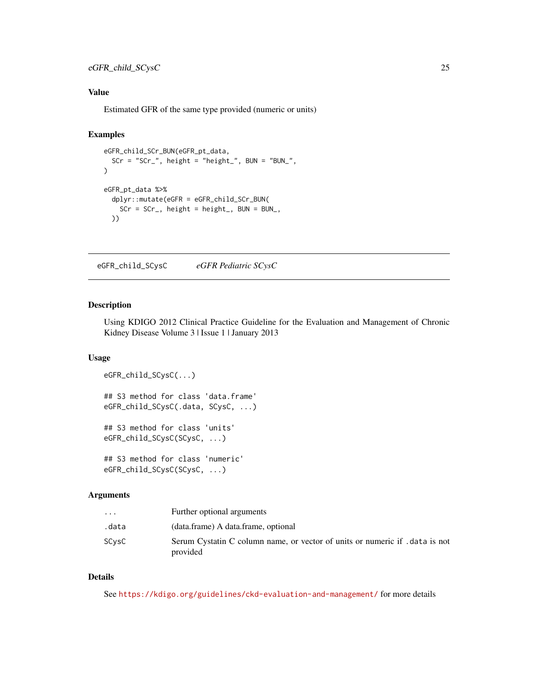# <span id="page-24-0"></span>eGFR\_child\_SCysC 25

# Value

Estimated GFR of the same type provided (numeric or units)

# Examples

```
eGFR_child_SCr_BUN(eGFR_pt_data,
  SCr = "SCr", height = "height_", BUN = "BUN_",
)
eGFR_pt_data %>%
  dplyr::mutate(eGFR = eGFR_child_SCr_BUN(
   SCr = SCr_, height = height_, BUN = BUN_,
  ))
```
<span id="page-24-1"></span>eGFR\_child\_SCysC *eGFR Pediatric SCysC*

# Description

Using KDIGO 2012 Clinical Practice Guideline for the Evaluation and Management of Chronic Kidney Disease Volume 3 | Issue 1 | January 2013

# Usage

```
eGFR_child_SCysC(...)
## S3 method for class 'data.frame'
eGFR_child_SCysC(.data, SCysC, ...)
## S3 method for class 'units'
eGFR_child_SCysC(SCysC, ...)
## S3 method for class 'numeric'
```

```
eGFR_child_SCysC(SCysC, ...)
```
#### Arguments

| $\cdot$ $\cdot$ $\cdot$ | Further optional arguments                                                             |
|-------------------------|----------------------------------------------------------------------------------------|
| .data                   | (data.frame) A data.frame, optional                                                    |
| SCvsC                   | Serum Cystatin C column name, or vector of units or numeric if data is not<br>provided |

#### Details

See <https://kdigo.org/guidelines/ckd-evaluation-and-management/> for more details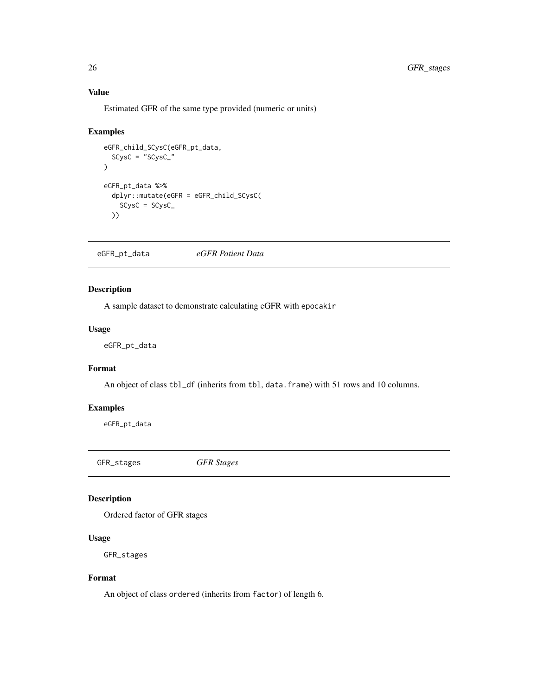# Value

Estimated GFR of the same type provided (numeric or units)

#### Examples

```
eGFR_child_SCysC(eGFR_pt_data,
  SCysC = "SCysC_"
)
eGFR_pt_data %>%
  dplyr::mutate(eGFR = eGFR_child_SCysC(
   SCysC = SCysC_
  ))
```
eGFR\_pt\_data *eGFR Patient Data*

# Description

A sample dataset to demonstrate calculating eGFR with epocakir

#### Usage

eGFR\_pt\_data

# Format

An object of class tbl\_df (inherits from tbl, data.frame) with 51 rows and 10 columns.

#### Examples

eGFR\_pt\_data

GFR\_stages *GFR Stages*

# Description

Ordered factor of GFR stages

#### Usage

GFR\_stages

#### Format

An object of class ordered (inherits from factor) of length 6.

<span id="page-25-0"></span>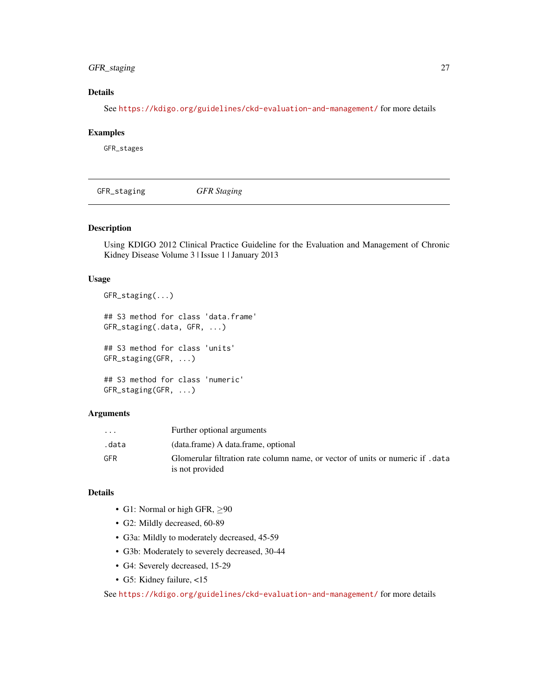# <span id="page-26-0"></span>GFR\_staging 27

# Details

See <https://kdigo.org/guidelines/ckd-evaluation-and-management/> for more details

#### Examples

GFR\_stages

GFR\_staging *GFR Staging*

# Description

Using KDIGO 2012 Clinical Practice Guideline for the Evaluation and Management of Chronic Kidney Disease Volume 3 | Issue 1 | January 2013

#### Usage

```
GFR_staging(...)
## S3 method for class 'data.frame'
GFR_staging(.data, GFR, ...)
## S3 method for class 'units'
GFR_staging(GFR, ...)
## S3 method for class 'numeric'
GFR_staging(GFR, ...)
```
#### Arguments

| $\cdots$ | Further optional arguments                                                                       |
|----------|--------------------------------------------------------------------------------------------------|
| data.    | (data.frame) A data.frame, optional                                                              |
| GFR      | Glomerular filtration rate column name, or vector of units or numeric if data<br>is not provided |

# Details

- G1: Normal or high GFR,  $\geq 90$
- G2: Mildly decreased, 60-89
- G3a: Mildly to moderately decreased, 45-59
- G3b: Moderately to severely decreased, 30-44
- G4: Severely decreased, 15-29
- G5: Kidney failure, <15

See <https://kdigo.org/guidelines/ckd-evaluation-and-management/> for more details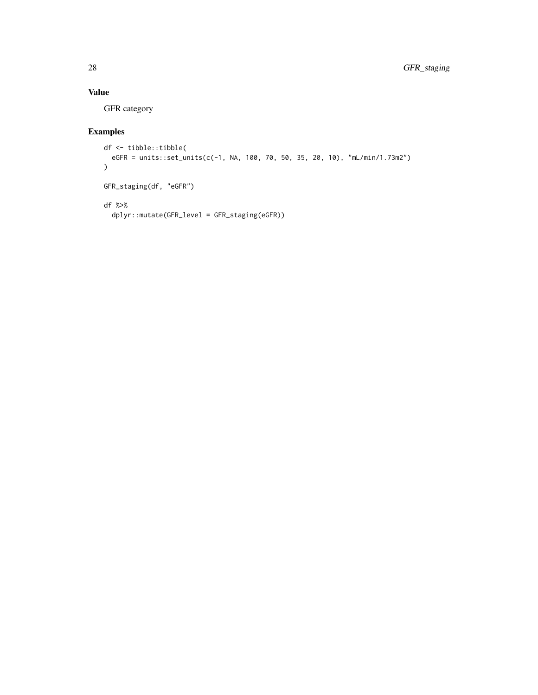# Value

GFR category

```
df <- tibble::tibble(
 eGFR = units::set_units(c(-1, NA, 100, 70, 50, 35, 20, 10), "mL/min/1.73m2")
)GFR_staging(df, "eGFR")
df %>%
 dplyr::mutate(GFR_level = GFR_staging(eGFR))
```